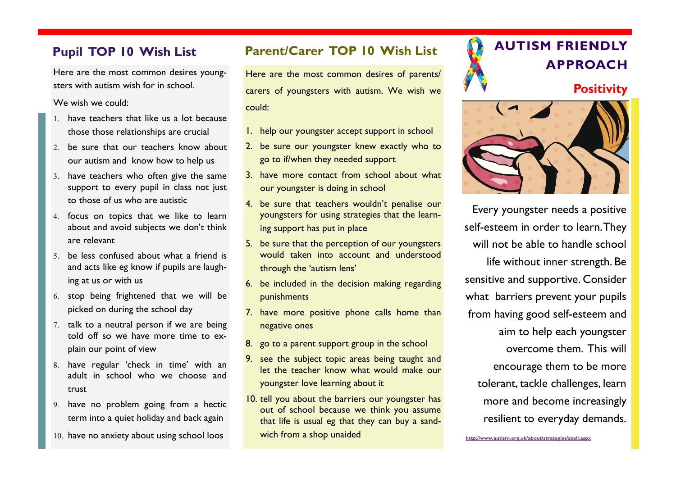Here are the most common desires youngsters with autism wish for in school.

We wish we could:

- have teachers that like us a lot because those those relationships are crucial
- 2. be sure that our teachers know about our autism and know how to help us
- 3. have teachers who often give the same support to every pupil in class not just to those of us who are autistic
- 4. focus on topics that we like to learn about and avoid subjects we don't think are relevant
- be less confused about what a friend is and acts like eg know if pupils are laughing at us or with us
- 6. stop being frightened that we will be picked on during the school day
- 7. talk to a neutral person if we are being told off so we have more time to explain our point of view
- have regular 'check in time' with an adult in school who we choose and trust
- 9. have no problem going from a hectic term into a quiet holiday and back again
- 10. have no anxiety about using school loos

# **Pupil TOP 10 Wish List Parent/Carer TOP 10 Wish List AUTISM FRIENDLY**

Here are the most common desires of parents/ carers of youngsters with autism. We wish we could:

- 1. help our youngster accept support in school
- 2. be sure our youngster knew exactly who to go to if/when they needed support
- 3. have more contact from school about what our youngster is doing in school
- 4. be sure that teachers wouldn't penalise our youngsters for using strategies that the learning support has put in place
- 5. be sure that the perception of our youngsters would taken into account and understood through the 'autism lens'
- 6. be included in the decision making regarding punishments
- 7. have more positive phone calls home than negative ones
- 8. go to a parent support group in the school
- 9. see the subject topic areas being taught and let the teacher know what would make our youngster love learning about it
- 10. tell you about the barriers our youngster has out of school because we think you assume that life is usual eg that they can buy a sandwich from a shop unaided



# **APPROACH**

### **Positivity**



Every youngster needs a positive self-esteem in order to learn. They will not be able to handle school life without inner strength. Be sensitive and supportive. Consider what barriers prevent your pupils from having good self-esteem and aim to help each youngster overcome them. This will encourage them to be more tolerant, tackle challenges, learn more and become increasingly resilient to everyday demands.